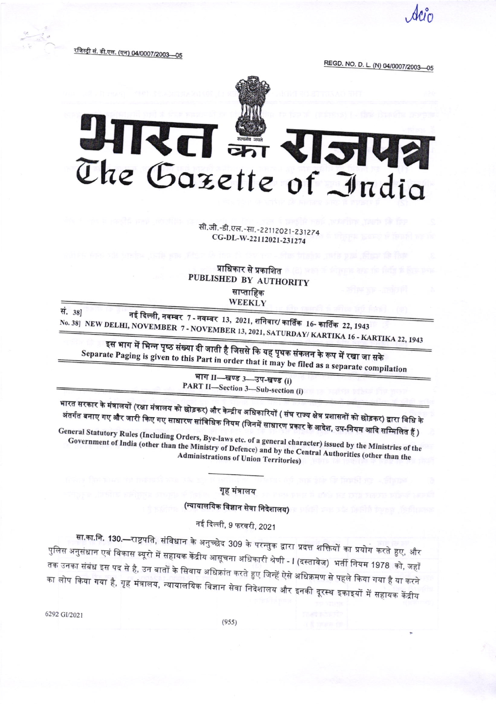<u>रजिस्ट्री सं. डी.एल. (एन) 04/0007/2003—05</u>

REGD. NO. D. L. (N) 04/0007/2003-05



## आरत का **RISHE** The Gazette of India

सी.जी.-डी.एल.-सा.-22112021-231274 CG-DL-W-22112021-231274

प्राधिकार से प्रकाशित PUBLISHED BY AUTHORITY साप्ताहिक WEEKLY

सं. 381

नई दिल्ली, नवम्बर 7 - नवम्बर 13, 2021, शनिवार/ कार्तिक 16- कार्तिक 22, 1943 No. 38] NEW DELHI, NOVEMBER 7 - NOVEMBER 13, 2021, SATURDAY/ KARTIKA 16 - KARTIKA 22, 1943

इस भाग में भिन्न पृष्ठ संख्या दी जाती है जिससे कि यह पृथक संकलन के रूप में रखा जा सके Separate Paging is given to this Part in order that it may be filed as a separate compilation

भाग II-खण्ड 3-उप-खण्ड (i) PART II-Section 3-Sub-section (i)

भारत सरकार के मंत्रालयों (रक्षा मंत्रालय को छोड़कर) और केन्द्रीय अधिकारियों ( संघ राज्य क्षेत्र प्रशासनों को छोड़कर) द्वारा विधि के अंतर्गत बनाए गए और जारी किए गए साधारण सांविधिक नियम (जिनमें साधारण प्रकार के आदेश, उप-नियम आदि सम्मिलित हैं )

General Statutory Rules (Including Orders, Bye-laws etc. of a general character) issued by the Ministries of the Government of India (other than the Ministry of Defence) and by the Central Authorities (other than the **Administrations of Union Territories)** 

## गृह मंत्रालय

(न्यायालयिक विज्ञान सेवा निदेशालय)

नई दिल्ली, 9 फरवरी, 2021

<mark>सा.का.नि. 130.—</mark>राष्ट्रपति, संविधान के अनुच्छेद 309 के परन्तुक द्वारा प्रदत्त शक्तियों का प्रयोग करते हुए, और पुलिस अनुसंधान एवं विकास ब्यूरो में सहायक केंद्रीय आसूचना अधिकारी श्रेणी - I (दस्तावेज) भर्ती नियम 1978 को, जहाँ तक उनका संबंध इस पद से है, उन बातों के सिवाय अधिक्रांत करते हुए जिन्हें ऐसे अधिक्रमण से पहले किया गया है या करने का लोप किया गया है, गृह मंत्रालय, न्यायालयिक विज्ञान सेवा निदेशालय और इनकी दूरस्थ इकाइयों में सहायक केंद्रीय

6292 GI/2021

 $(955)$